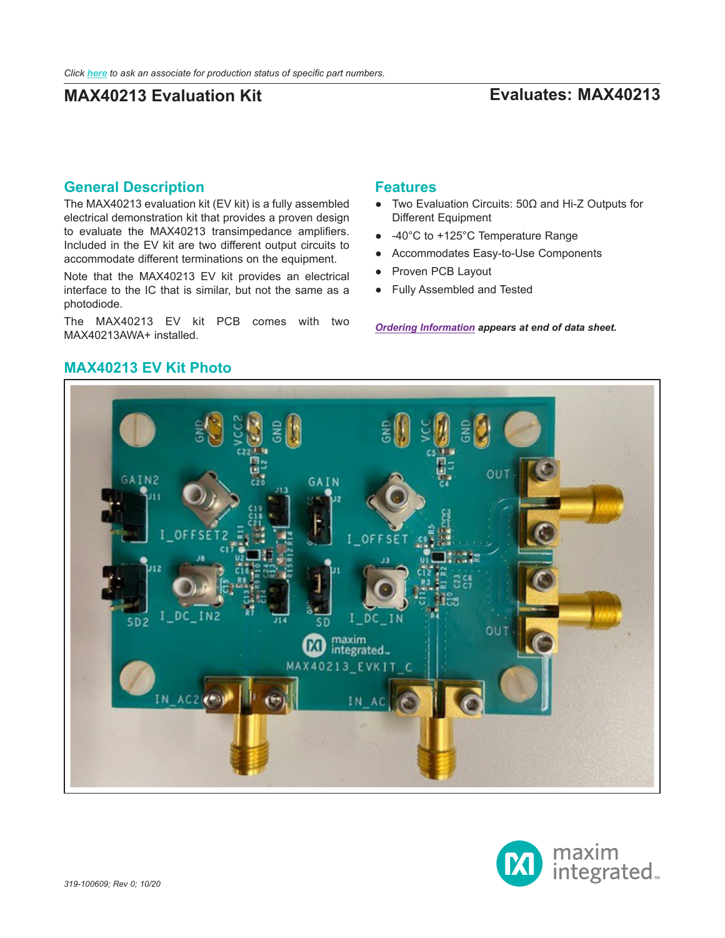# **MAX40213 Evaluation Kit Evaluates: MAX40213**

## **General Description**

The MAX40213 evaluation kit (EV kit) is a fully assembled electrical demonstration kit that provides a proven design to evaluate the MAX40213 transimpedance amplifiers. Included in the EV kit are two different output circuits to accommodate different terminations on the equipment.

Note that the MAX40213 EV kit provides an electrical interface to the IC that is similar, but not the same as a photodiode.

The MAX40213 EV kit PCB comes with two MAX40213AWA+ installed.

### **Features**

- Two Evaluation Circuits: 50Ω and Hi-Z Outputs for Different Equipment
- -40°C to +125°C Temperature Range
- Accommodates Easy-to-Use Components
- Proven PCB Layout
- Fully Assembled and Tested

*[Ordering Information](#page-3-0) appears at end of data sheet.*





### **MAX40213 EV Kit Photo**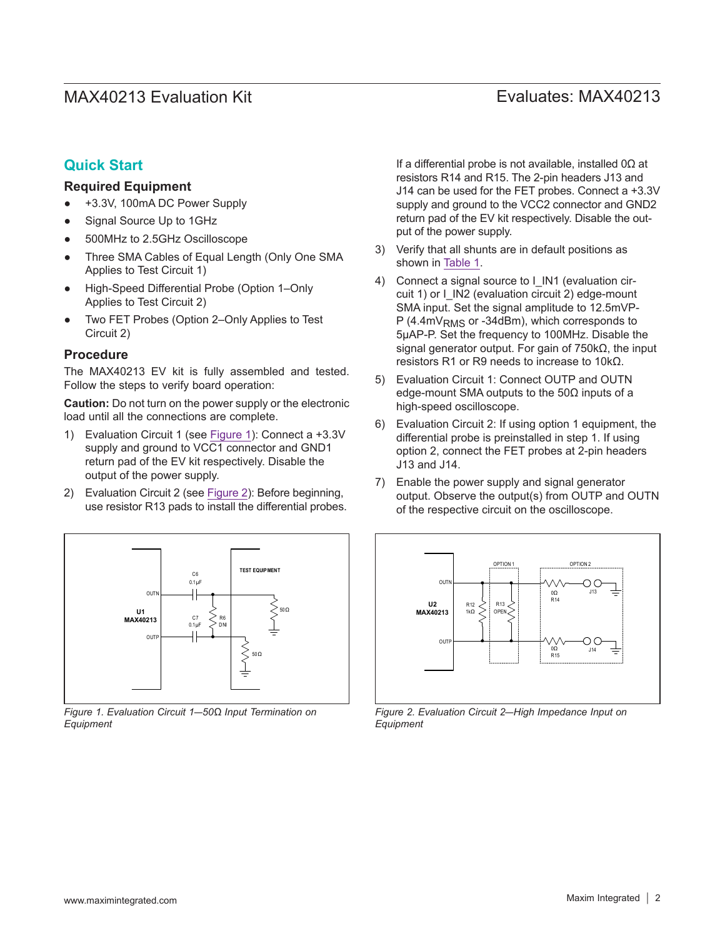# MAX40213 Evaluation Kit
Here Allen Contains and Evaluates: MAX40213

## **Quick Start**

#### **Required Equipment**

- +3.3V, 100mA DC Power Supply
- Signal Source Up to 1GHz
- 500MHz to 2.5GHz Oscilloscope
- Three SMA Cables of Equal Length (Only One SMA Applies to Test Circuit 1)
- High-Speed Differential Probe (Option 1–Only Applies to Test Circuit 2)
- Two FET Probes (Option 2–Only Applies to Test Circuit 2)

#### **Procedure**

The MAX40213 EV kit is fully assembled and tested. Follow the steps to verify board operation:

**Caution:** Do not turn on the power supply or the electronic load until all the connections are complete.

- 1) Evaluation Circuit 1 (see [Figure 1](#page-1-0)): Connect a +3.3V supply and ground to VCC1 connector and GND1 return pad of the EV kit respectively. Disable the output of the power supply.
- 2) Evaluation Circuit 2 (see [Figure 2](#page-1-1)): Before beginning, use resistor R13 pads to install the differential probes.

<span id="page-1-0"></span>

*Figure 1. Evaluation Circuit 1*—*50Ω Input Termination on Equipment*

If a differential probe is not available, installed 0Ω at resistors R14 and R15. The 2-pin headers J13 and J14 can be used for the FET probes. Connect a +3.3V supply and ground to the VCC2 connector and GND2 return pad of the EV kit respectively. Disable the output of the power supply.

- 3) Verify that all shunts are in default positions as shown in [Table 1](#page-2-0).
- 4) Connect a signal source to I IN1 (evaluation circuit 1) or I\_IN2 (evaluation circuit 2) edge-mount SMA input. Set the signal amplitude to 12.5mVP-P (4.4mV<sub>RMS</sub> or -34dBm), which corresponds to 5μAP-P. Set the frequency to 100MHz. Disable the signal generator output. For gain of 750kΩ, the input resistors R1 or R9 needs to increase to 10kΩ.
- 5) Evaluation Circuit 1: Connect OUTP and OUTN edge-mount SMA outputs to the  $50\Omega$  inputs of a high-speed oscilloscope.
- 6) Evaluation Circuit 2: If using option 1 equipment, the differential probe is preinstalled in step 1. If using option 2, connect the FET probes at 2-pin headers J13 and J14.
- 7) Enable the power supply and signal generator output. Observe the output(s) from OUTP and OUTN of the respective circuit on the oscilloscope.

<span id="page-1-1"></span>

*Figure 2. Evaluation Circuit 2*—*High Impedance Input on Equipment*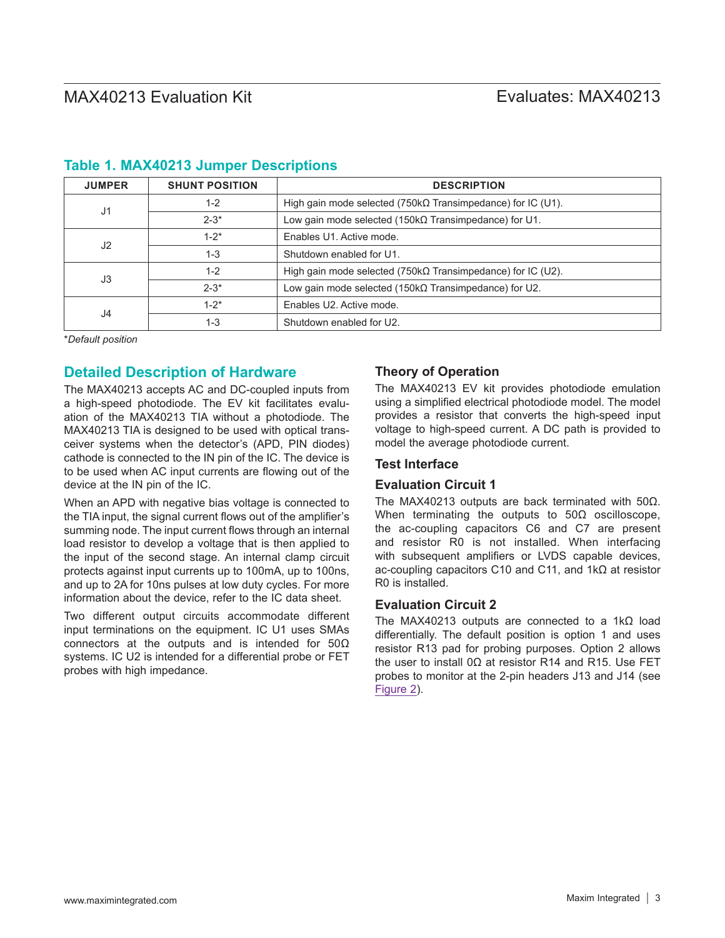# MAX40213 Evaluation Kit
Here Allen Contains and Evaluates: MAX40213

| <b>JUMPER</b>  | <b>SHUNT POSITION</b> | <b>DESCRIPTION</b>                                                  |
|----------------|-----------------------|---------------------------------------------------------------------|
| J <sub>1</sub> | $1 - 2$               | High gain mode selected (750k $\Omega$ Transimpedance) for IC (U1). |
|                | $2 - 3*$              | Low gain mode selected (150k $\Omega$ Transimpedance) for U1.       |
| J2             | $1 - 2^*$             | Enables U1. Active mode.                                            |
|                | $1 - 3$               | Shutdown enabled for U1.                                            |
| J3             | $1 - 2$               | High gain mode selected (750kΩ Transimpedance) for IC (U2).         |
|                | $2 - 3^*$             | Low gain mode selected (150k $\Omega$ Transimpedance) for U2.       |
| J4             | $1 - 2^*$             | Enables U2, Active mode.                                            |
|                | $1 - 3$               | Shutdown enabled for U2.                                            |

## <span id="page-2-0"></span>**Table 1. MAX40213 Jumper Descriptions**

\**Default position*

## **Detailed Description of Hardware**

The MAX40213 accepts AC and DC-coupled inputs from a high-speed photodiode. The EV kit facilitates evaluation of the MAX40213 TIA without a photodiode. The MAX40213 TIA is designed to be used with optical transceiver systems when the detector's (APD, PIN diodes) cathode is connected to the IN pin of the IC. The device is to be used when AC input currents are flowing out of the device at the IN pin of the IC.

When an APD with negative bias voltage is connected to the TIA input, the signal current flows out of the amplifier's summing node. The input current flows through an internal load resistor to develop a voltage that is then applied to the input of the second stage. An internal clamp circuit protects against input currents up to 100mA, up to 100ns, and up to 2A for 10ns pulses at low duty cycles. For more information about the device, refer to the IC data sheet.

Two different output circuits accommodate different input terminations on the equipment. IC U1 uses SMAs connectors at the outputs and is intended for 50Ω systems. IC U2 is intended for a differential probe or FET probes with high impedance.

## **Theory of Operation**

The MAX40213 EV kit provides photodiode emulation using a simplified electrical photodiode model. The model provides a resistor that converts the high-speed input voltage to high-speed current. A DC path is provided to model the average photodiode current.

### **Test Interface**

### **Evaluation Circuit 1**

The MAX40213 outputs are back terminated with 50Ω. When terminating the outputs to 50Ω oscilloscope, the ac-coupling capacitors C6 and C7 are present and resistor R0 is not installed. When interfacing with subsequent amplifiers or LVDS capable devices, ac-coupling capacitors C10 and C11, and 1kΩ at resistor R0 is installed.

### **Evaluation Circuit 2**

The MAX40213 outputs are connected to a 1kΩ load differentially. The default position is option 1 and uses resistor R13 pad for probing purposes. Option 2 allows the user to install 0Ω at resistor R14 and R15. Use FET probes to monitor at the 2-pin headers J13 and J14 (see [Figure 2](#page-1-1)).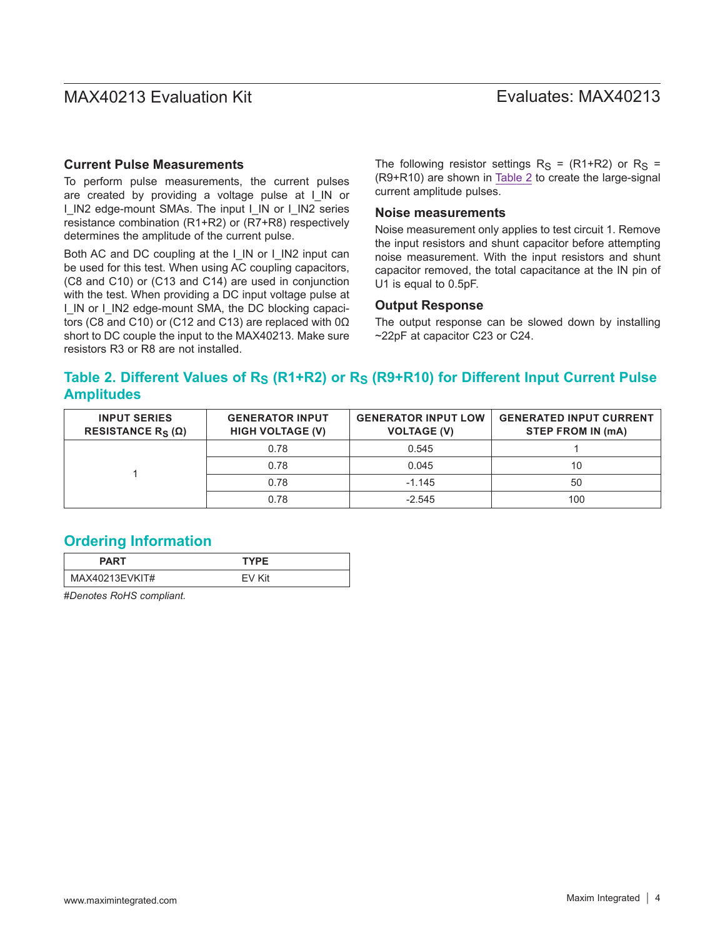# MAX40213 Evaluation Kit
Here Allen Contains and Evaluates: MAX40213

#### **Current Pulse Measurements**

To perform pulse measurements, the current pulses are created by providing a voltage pulse at I\_IN or I\_IN2 edge-mount SMAs. The input I\_IN or I\_IN2 series resistance combination (R1+R2) or (R7+R8) respectively determines the amplitude of the current pulse.

Both AC and DC coupling at the I\_IN or I\_IN2 input can be used for this test. When using AC coupling capacitors, (C8 and C10) or (C13 and C14) are used in conjunction with the test. When providing a DC input voltage pulse at I\_IN or I\_IN2 edge-mount SMA, the DC blocking capacitors (C8 and C10) or (C12 and C13) are replaced with 0Ω short to DC couple the input to the MAX40213. Make sure resistors R3 or R8 are not installed.

The following resistor settings  $R_S = (R1+R2)$  or  $R_S =$ (R9+R10) are shown in [Table 2](#page-3-1) to create the large-signal current amplitude pulses.

#### **Noise measurements**

Noise measurement only applies to test circuit 1. Remove the input resistors and shunt capacitor before attempting noise measurement. With the input resistors and shunt capacitor removed, the total capacitance at the IN pin of U1 is equal to 0.5pF.

#### **Output Response**

The output response can be slowed down by installing ~22pF at capacitor C23 or C24.

## <span id="page-3-1"></span>Table 2. Different Values of R<sub>S</sub> (R1+R2) or R<sub>S</sub> (R9+R10) for Different Input Current Pulse **Amplitudes**

| <b>INPUT SERIES</b><br>RESISTANCE $R_S(\Omega)$ | <b>GENERATOR INPUT</b><br><b>HIGH VOLTAGE (V)</b> | <b>GENERATOR INPUT LOW</b><br><b>VOLTAGE (V)</b> | <b>GENERATED INPUT CURRENT</b><br><b>STEP FROM IN (mA)</b> |
|-------------------------------------------------|---------------------------------------------------|--------------------------------------------------|------------------------------------------------------------|
|                                                 | 0.78                                              | 0.545                                            |                                                            |
|                                                 | 0.78                                              | 0.045                                            | 10                                                         |
|                                                 | 0.78                                              | $-1.145$                                         | 50                                                         |
|                                                 | 0.78                                              | $-2.545$                                         | 100                                                        |

## <span id="page-3-0"></span>**Ordering Information**

| <b>PART</b>    | TYPF   |
|----------------|--------|
| MAX40213EVKIT# | FV Kit |

#*Denotes RoHS compliant.*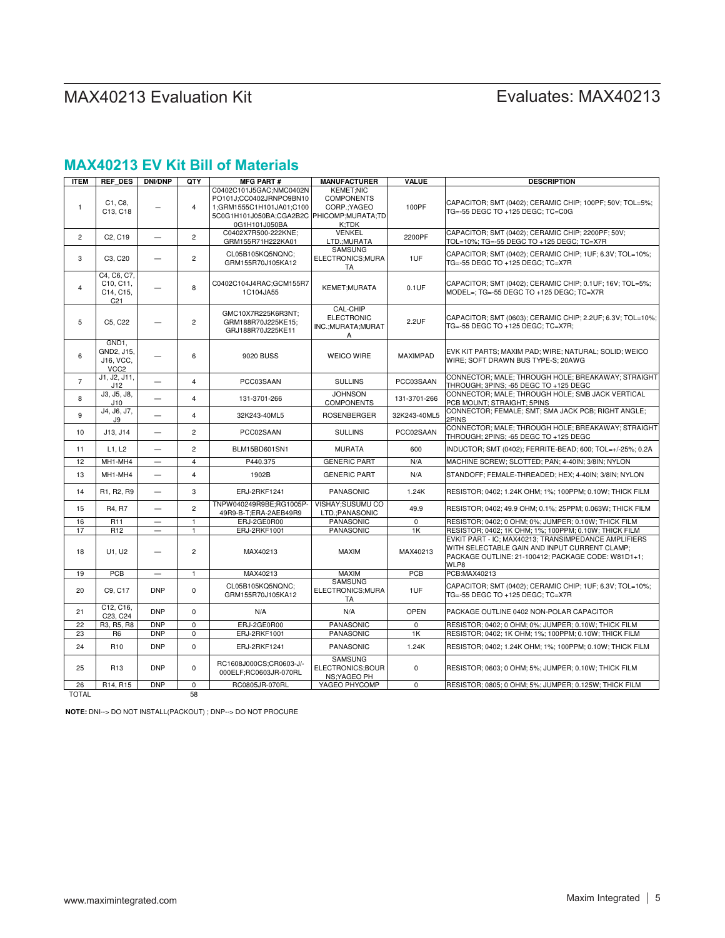# MAX40213 Evaluation Kit
Here and South MAX40213

# **MAX40213 EV Kit Bill of Materials**

| <b>ITEM</b>     | <b>REF DES</b>                                           | <b>DNI/DNP</b>           | QTY                     | <b>MFG PART#</b>                                                                                                                             | <b>MANUFACTURER</b>                                              | VALUE           | <b>DESCRIPTION</b>                                                                                                                                             |
|-----------------|----------------------------------------------------------|--------------------------|-------------------------|----------------------------------------------------------------------------------------------------------------------------------------------|------------------------------------------------------------------|-----------------|----------------------------------------------------------------------------------------------------------------------------------------------------------------|
| $\mathbf{1}$    | C1. C8.<br>C13, C18                                      |                          | $\overline{4}$          | C0402C101J5GAC;NMC0402N<br>PO101J;CC0402JRNPO9BN10<br>1;GRM1555C1H101JA01;C100<br>5C0G1H101J050BA;CGA2B2C PHICOMP;MURATA;TD<br>0G1H101J050BA | <b>KEMET;NIC</b><br><b>COMPONENTS</b><br>CORP.; YAGEO<br>K:TDK   | 100PF           | CAPACITOR; SMT (0402); CERAMIC CHIP; 100PF; 50V; TOL=5%;<br>TG=-55 DEGC TO +125 DEGC; TC=C0G                                                                   |
| $\overline{2}$  | C2, C19                                                  | $\overline{\phantom{0}}$ | $\overline{2}$          | C0402X7R500-222KNE;<br>GRM155R71H222KA01                                                                                                     | <b>VENKEL</b><br>LTD.: MURATA                                    | 2200PF          | CAPACITOR; SMT (0402); CERAMIC CHIP; 2200PF; 50V;<br>TOL=10%; TG=-55 DEGC TO +125 DEGC; TC=X7R                                                                 |
| 3               | C3, C20                                                  | $\overline{\phantom{0}}$ | $\overline{c}$          | CL05B105KQ5NQNC;<br>GRM155R70J105KA12                                                                                                        | <b>SAMSUNG</b><br>ELECTRONICS; MURA<br><b>TA</b>                 | 1UF             | CAPACITOR; SMT (0402); CERAMIC CHIP; 1UF; 6.3V; TOL=10%;<br>TG=-55 DEGC TO +125 DEGC; TC=X7R                                                                   |
| $\overline{4}$  | C4, C6, C7,<br>C10, C11,<br>C14, C15,<br>C <sub>21</sub> |                          | 8                       | C0402C104J4RAC;GCM155R7<br>1C104JA55                                                                                                         | KEMET;MURATA                                                     | $0.1$ UF        | CAPACITOR; SMT (0402); CERAMIC CHIP; 0.1UF; 16V; TOL=5%;<br>MODEL=: TG=-55 DEGC TO +125 DEGC: TC=X7R                                                           |
| 5               | C5, C22                                                  |                          | $\overline{2}$          | GMC10X7R225K6R3NT;<br>GRM188R70J225KE15;<br>GRJ188R70J225KE11                                                                                | <b>CAL-CHIP</b><br><b>ELECTRONIC</b><br>INC.; MURATA; MURAT<br>A | 2.2UF           | CAPACITOR; SMT (0603); CERAMIC CHIP; 2.2UF; 6.3V; TOL=10%;<br>TG=-55 DEGC TO +125 DEGC; TC=X7R;                                                                |
| 6               | GND1,<br>GND2, J15,<br>J16, VCC,<br>VCC <sub>2</sub>     |                          | 6                       | 9020 BUSS                                                                                                                                    | <b>WEICO WIRE</b>                                                | <b>MAXIMPAD</b> | EVK KIT PARTS; MAXIM PAD; WIRE; NATURAL; SOLID; WEICO<br>WIRE: SOFT DRAWN BUS TYPE-S: 20AWG                                                                    |
| $\overline{7}$  | J1, J2, J11,<br>J12                                      | $\overline{\phantom{0}}$ | $\overline{4}$          | PCC03SAAN                                                                                                                                    | <b>SULLINS</b>                                                   | PCC03SAAN       | CONNECTOR: MALE: THROUGH HOLE: BREAKAWAY: STRAIGHT<br>THROUGH; 3PINS; -65 DEGC TO +125 DEGC                                                                    |
| 8               | J3, J5, J8,<br>J10                                       |                          | $\overline{4}$          | 131-3701-266                                                                                                                                 | <b>JOHNSON</b><br><b>COMPONENTS</b>                              | 131-3701-266    | CONNECTOR; MALE; THROUGH HOLE; SMB JACK VERTICAL<br>PCB MOUNT: STRAIGHT: 5PINS                                                                                 |
| 9               | J4, J6, J7,<br>J9                                        | $\overline{\phantom{0}}$ | $\overline{\mathbf{4}}$ | 32K243-40ML5                                                                                                                                 | ROSENBERGER                                                      | 32K243-40ML5    | CONNECTOR; FEMALE; SMT; SMA JACK PCB; RIGHT ANGLE;<br>2PINS                                                                                                    |
| 10              | J13, J14                                                 | $\equiv$                 | $\overline{2}$          | PCC02SAAN                                                                                                                                    | <b>SULLINS</b>                                                   | PCC02SAAN       | CONNECTOR: MALE: THROUGH HOLE: BREAKAWAY: STRAIGHT<br>THROUGH; 2PINS; -65 DEGC TO +125 DEGC                                                                    |
| 11              | L1. L2                                                   | L.                       | $\overline{2}$          | BLM15BD601SN1                                                                                                                                | <b>MURATA</b>                                                    | 600             | INDUCTOR; SMT (0402); FERRITE-BEAD; 600; TOL=+/-25%; 0.2A                                                                                                      |
| 12              | MH1-MH4                                                  | $\qquad \qquad -$        | $\overline{4}$          | P440.375                                                                                                                                     | <b>GENERIC PART</b>                                              | N/A             | MACHINE SCREW; SLOTTED; PAN; 4-40IN; 3/8IN; NYLON                                                                                                              |
| 13              | MH1-MH4                                                  | $\equiv$                 | $\overline{4}$          | 1902B                                                                                                                                        | <b>GENERIC PART</b>                                              | N/A             | STANDOFF; FEMALE-THREADED; HEX; 4-40IN; 3/8IN; NYLON                                                                                                           |
| 14              | R1, R2, R9                                               | $\overline{\phantom{0}}$ | 3                       | ERJ-2RKF1241                                                                                                                                 | PANASONIC                                                        | 1.24K           | RESISTOR; 0402; 1.24K OHM; 1%; 100PPM; 0.10W; THICK FILM                                                                                                       |
| 15              | R4, R7                                                   | $\equiv$                 | $\overline{c}$          | TNPW040249R9BE;RG1005P-<br>49R9-B-T;ERA-2AEB49R9                                                                                             | VISHAY; SUSUMU CO<br>LTD.; PANASONIC                             | 49.9            | RESISTOR; 0402; 49.9 OHM; 0.1%; 25PPM; 0.063W; THICK FILM                                                                                                      |
| 16              | R <sub>11</sub>                                          | $\overline{\phantom{m}}$ | $\mathbf{1}$            | ERJ-2GE0R00                                                                                                                                  | <b>PANASONIC</b>                                                 | $\overline{0}$  | RESISTOR; 0402; 0 OHM; 0%; JUMPER; 0.10W; THICK FILM                                                                                                           |
| 17              | R <sub>12</sub>                                          |                          | $\mathbf{1}$            | ERJ-2RKF1001                                                                                                                                 | <b>PANASONIC</b>                                                 | 1K              | RESISTOR; 0402; 1K OHM; 1%; 100PPM; 0.10W; THICK FILM<br>EVKIT PART - IC: MAX40213: TRANSIMPEDANCE AMPLIFIERS<br>WITH SELECTABLE GAIN AND INPUT CURRENT CLAMP; |
| 18              | U1, U2                                                   |                          | $\overline{c}$          | MAX40213                                                                                                                                     | MAXIM                                                            | MAX40213        | PACKAGE OUTLINE: 21-100412; PACKAGE CODE: W81D1+1;<br>WLP8                                                                                                     |
| 19              | PCB                                                      | $\overline{\phantom{0}}$ | $\mathbf{1}$            | MAX40213                                                                                                                                     | <b>MAXIM</b>                                                     | PCB             | PCB:MAX40213                                                                                                                                                   |
| 20              | C9, C17                                                  | <b>DNP</b>               | $\mathbf 0$             | CL05B105KQ5NQNC;<br>GRM155R70J105KA12                                                                                                        | <b>SAMSUNG</b><br>ELECTRONICS; MURA<br>TA                        | 1UF             | CAPACITOR; SMT (0402); CERAMIC CHIP; 1UF; 6.3V; TOL=10%;<br>TG=-55 DEGC TO +125 DEGC: TC=X7R                                                                   |
| 21              | C12, C16.<br>C23, C24                                    | <b>DNP</b>               | $\mathbf 0$             | N/A                                                                                                                                          | N/A                                                              | <b>OPEN</b>     | PACKAGE OUTLINE 0402 NON-POLAR CAPACITOR                                                                                                                       |
| $\overline{22}$ | R3, R5, R8                                               | <b>DNP</b>               | $\pmb{0}$               | ERJ-2GE0R00                                                                                                                                  | PANASONIC                                                        | 0               | RESISTOR; 0402; 0 OHM; 0%; JUMPER; 0.10W; THICK FILM                                                                                                           |
| 23              | R <sub>6</sub>                                           | <b>DNP</b>               | $\mathbf 0$             | ERJ-2RKF1001                                                                                                                                 | PANASONIC                                                        | 1K              | RESISTOR; 0402; 1K OHM; 1%; 100PPM; 0.10W; THICK FILM                                                                                                          |
| 24              | R <sub>10</sub>                                          | <b>DNP</b>               | $\mathbf 0$             | ERJ-2RKF1241                                                                                                                                 | PANASONIC                                                        | 1.24K           | RESISTOR; 0402; 1.24K OHM; 1%; 100PPM; 0.10W; THICK FILM                                                                                                       |
| 25              | R <sub>13</sub>                                          | <b>DNP</b>               | $\pmb{0}$               | RC1608J000CS;CR0603-J/-<br>000ELF;RC0603JR-070RL                                                                                             | <b>SAMSUNG</b><br>ELECTRONICS;BOUR<br><b>NS:YAGEO PH</b>         | $\pmb{0}$       | RESISTOR; 0603; 0 OHM; 5%; JUMPER; 0.10W; THICK FILM                                                                                                           |
| 26              | R14, R15                                                 | <b>DNP</b>               | $\mathbf 0$             | RC0805JR-070RL                                                                                                                               | YAGEO PHYCOMP                                                    | $\mathbf 0$     | RESISTOR; 0805; 0 OHM; 5%; JUMPER; 0.125W; THICK FILM                                                                                                          |
| <b>TOTAL</b>    |                                                          |                          | 58                      |                                                                                                                                              |                                                                  |                 |                                                                                                                                                                |

**NOTE:** DNI--> DO NOT INSTALL(PACKOUT) ; DNP--> DO NOT PROCURE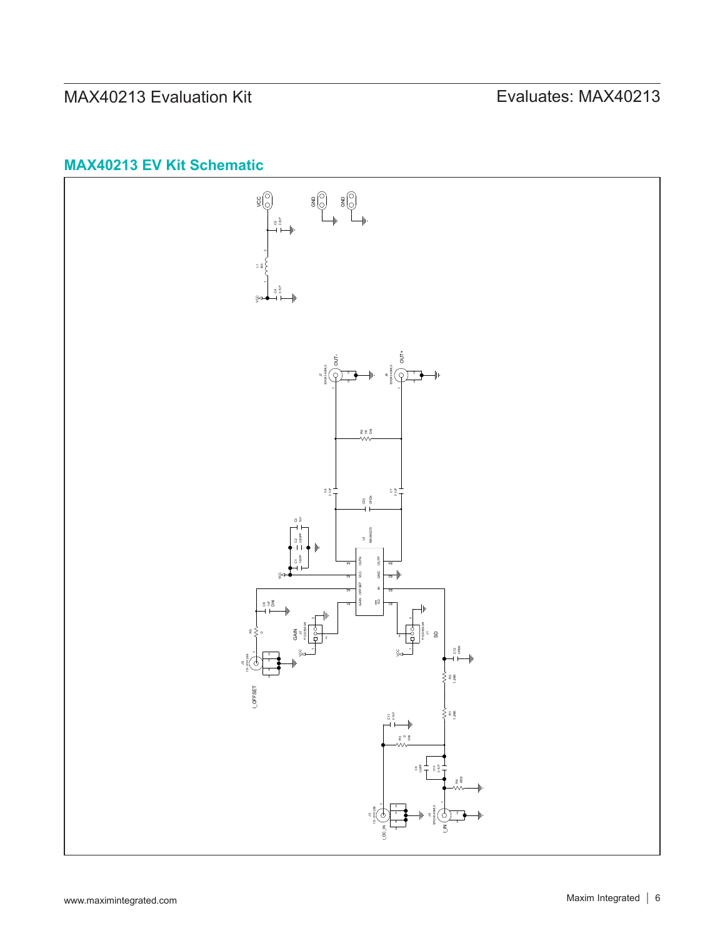# MAX40213 Evaluation Kit
Herrich Communication Communication Evaluates: MAX40213

# **MAX40213 EV Kit Schematic**

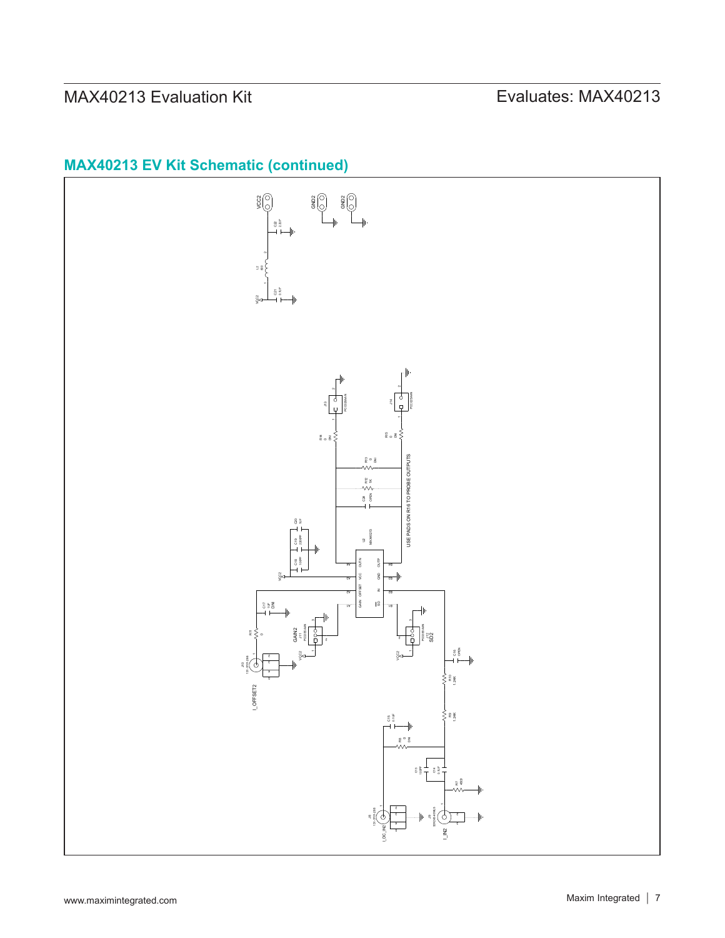# MAX40213 Evaluation Kit
Herrich Communication Communication Evaluates: MAX40213



# **MAX40213 EV Kit Schematic (continued)**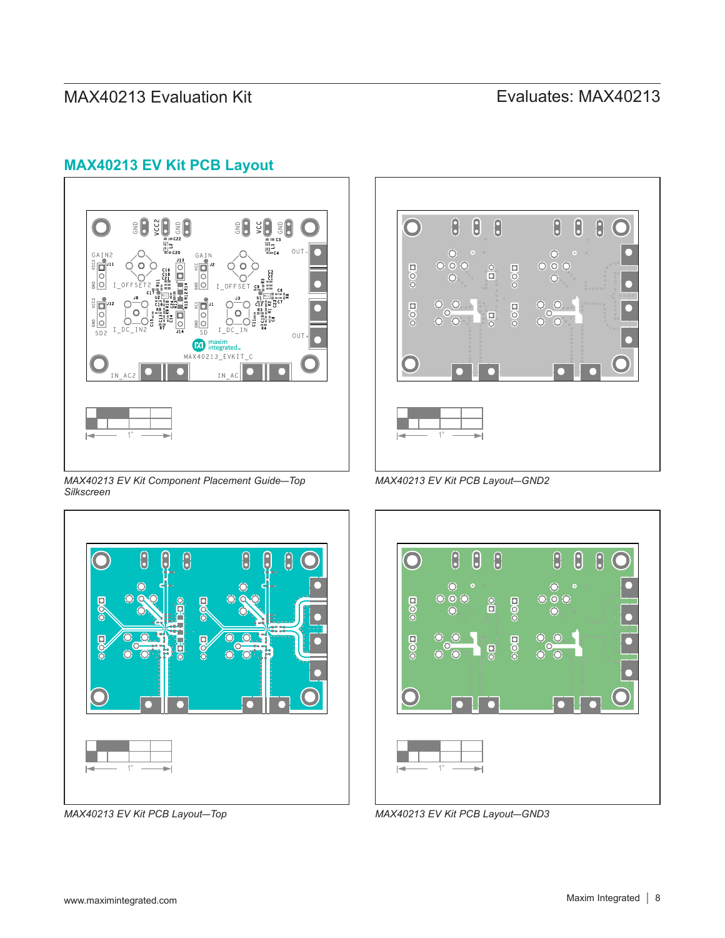# MAX40213 Evaluation Kit
Here and Evaluates: MAX40213

# **MAX40213 EV Kit PCB Layout**



*MAX40213 EV Kit Component Placement Guide*—*Top Silkscreen*



*MAX40213 EV Kit PCB Layout*—*Top*



*MAX40213 EV Kit PCB Layout*—*GND2*



*MAX40213 EV Kit PCB Layout*—*GND3*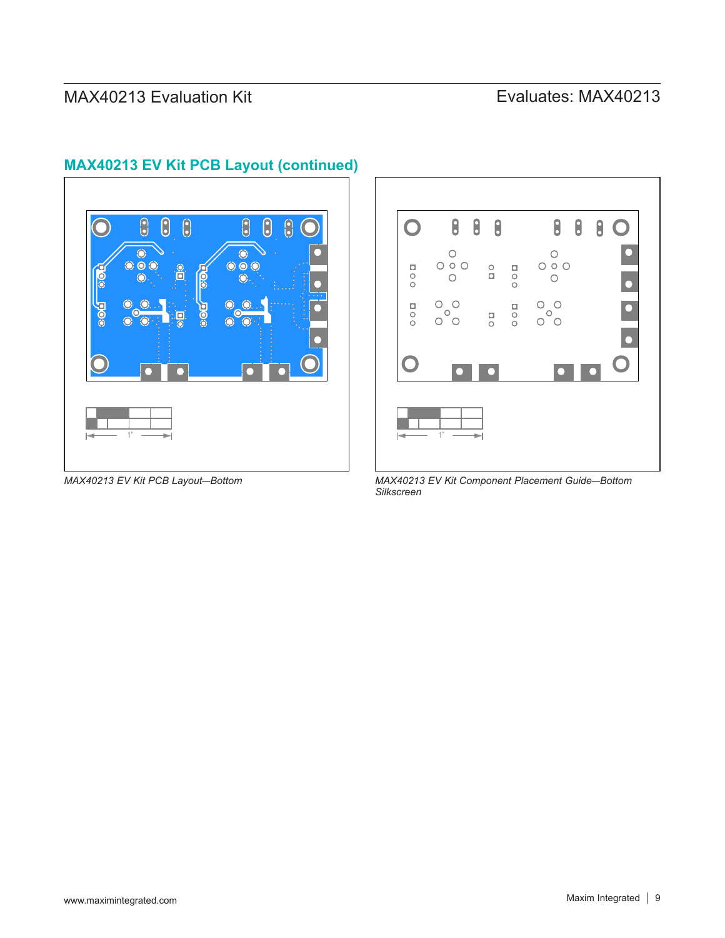# MAX40213 Evaluation Kit
Here and Evaluates: MAX40213



# **MAX40213 EV Kit PCB Layout (continued)**



*MAX40213 EV Kit PCB Layout*—*Bottom MAX40213 EV Kit Component Placement Guide*—*Bottom Silkscreen*